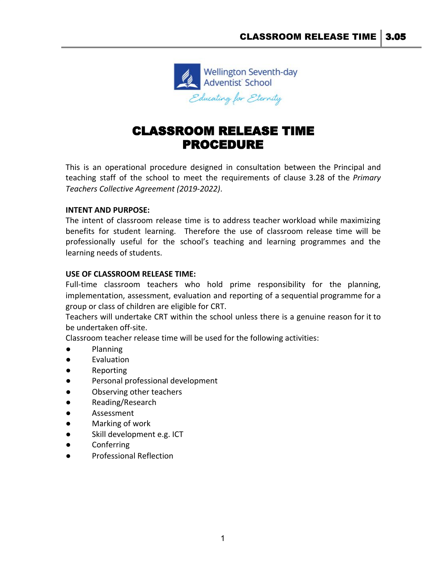

## CLASSROOM RELEASE TIME PROCEDURE

This is an operational procedure designed in consultation between the Principal and teaching staff of the school to meet the requirements of clause 3.28 of the *Primary Teachers Collective Agreement (2019-2022)*.

## **INTENT AND PURPOSE:**

The intent of classroom release time is to address teacher workload while maximizing benefits for student learning. Therefore the use of classroom release time will be professionally useful for the school's teaching and learning programmes and the learning needs of students.

## **USE OF CLASSROOM RELEASE TIME:**

Full-time classroom teachers who hold prime responsibility for the planning, implementation, assessment, evaluation and reporting of a sequential programme for a group or class of children are eligible for CRT.

Teachers will undertake CRT within the school unless there is a genuine reason for it to be undertaken off-site.

Classroom teacher release time will be used for the following activities:

- Planning
- Evaluation
- **Reporting**
- Personal professional development
- Observing other teachers
- Reading/Research
- Assessment
- Marking of work
- Skill development e.g. ICT
- Conferring
- **Professional Reflection**